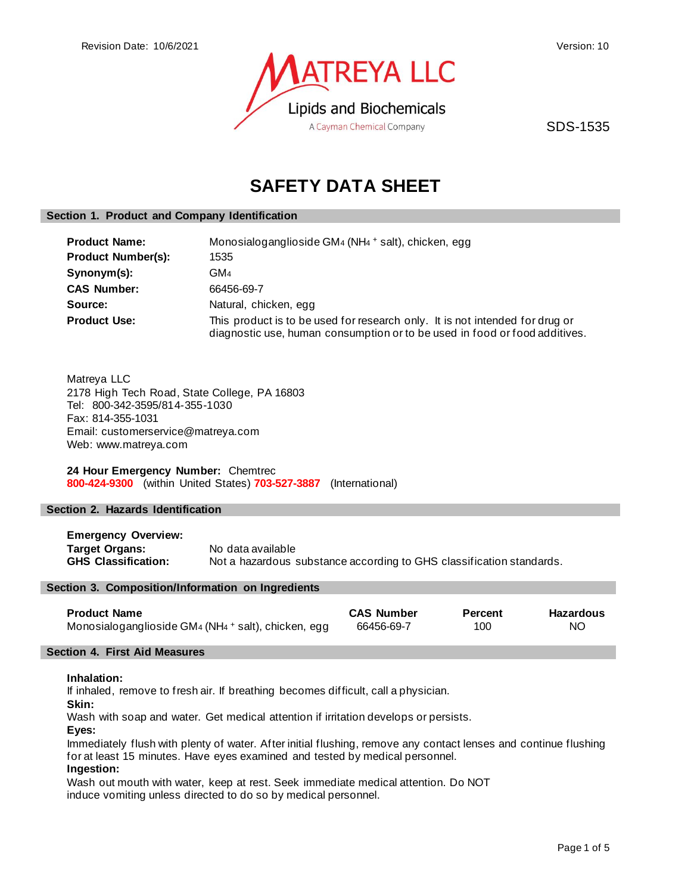

SDS-1535

# **SAFETY DATA SHEET**

# **Section 1. Product and Company Identification**

| <b>Product Name:</b>      | Monosialoganglioside GM4 (NH4 + salt), chicken, egg                                                                                                        |  |  |
|---------------------------|------------------------------------------------------------------------------------------------------------------------------------------------------------|--|--|
| <b>Product Number(s):</b> | 1535                                                                                                                                                       |  |  |
| Synonym(s):               | GM4                                                                                                                                                        |  |  |
| <b>CAS Number:</b>        | 66456-69-7                                                                                                                                                 |  |  |
| Source:                   | Natural, chicken, egg                                                                                                                                      |  |  |
| <b>Product Use:</b>       | This product is to be used for research only. It is not intended for drug or<br>diagnostic use, human consumption or to be used in food or food additives. |  |  |

Matreya LLC 2178 High Tech Road, State College, PA 16803 Tel: 800-342-3595/814-355-1030 Fax: 814-355-1031 Email: customerservice@matreya.com Web: www.matreya.com

**24 Hour Emergency Number:** Chemtrec **800-424-9300** (within United States) **703-527-3887** (International)

# **Section 2. Hazards Identification**

**Emergency Overview: Target Organs:** No data available<br>**GHS Classification:** Not a hazardous s Not a hazardous substance according to GHS classification standards.

#### **Section 3. Composition/Information on Ingredients**

| <b>Product Name</b>                                 | <b>CAS Number</b> | <b>Percent</b> | Hazardous |
|-----------------------------------------------------|-------------------|----------------|-----------|
| Monosialoganglioside GM4 (NH4 + salt), chicken, egg | 66456-69-7        | 100            | NO.       |

#### **Section 4. First Aid Measures**

# **Inhalation:**

If inhaled, remove to fresh air. If breathing becomes difficult, call a physician.

**Skin:**

Wash with soap and water. Get medical attention if irritation develops or persists.

**Eyes:**

Immediately flush with plenty of water. After initial flushing, remove any contact lenses and continue flushing for at least 15 minutes. Have eyes examined and tested by medical personnel. **Ingestion:**

Wash out mouth with water, keep at rest. Seek immediate medical attention. Do NOT induce vomiting unless directed to do so by medical personnel.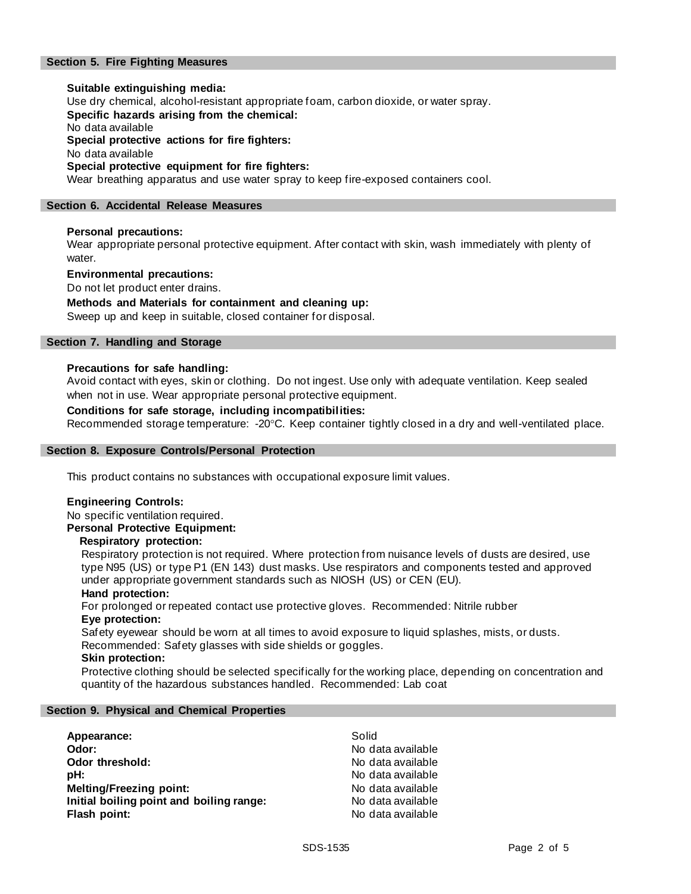# **Section 5. Fire Fighting Measures**

**Suitable extinguishing media:** Use dry chemical, alcohol-resistant appropriate foam, carbon dioxide, or water spray. **Specific hazards arising from the chemical:** No data available **Special protective actions for fire fighters:** No data available **Special protective equipment for fire fighters:** Wear breathing apparatus and use water spray to keep fire-exposed containers cool.

#### **Section 6. Accidental Release Measures**

#### **Personal precautions:**

Wear appropriate personal protective equipment. After contact with skin, wash immediately with plenty of water.

#### **Environmental precautions:**

Do not let product enter drains.

# **Methods and Materials for containment and cleaning up:**

Sweep up and keep in suitable, closed container for disposal.

## **Section 7. Handling and Storage**

#### **Precautions for safe handling:**

Avoid contact with eyes, skin or clothing. Do not ingest. Use only with adequate ventilation. Keep sealed when not in use. Wear appropriate personal protective equipment.

#### **Conditions for safe storage, including incompatibilities:**

Recommended storage temperature: -20°C. Keep container tightly closed in a dry and well-ventilated place.

#### **Section 8. Exposure Controls/Personal Protection**

This product contains no substances with occupational exposure limit values.

#### **Engineering Controls:**

No specific ventilation required.

**Personal Protective Equipment:**

#### **Respiratory protection:**

Respiratory protection is not required. Where protection from nuisance levels of dusts are desired, use type N95 (US) or type P1 (EN 143) dust masks. Use respirators and components tested and approved under appropriate government standards such as NIOSH (US) or CEN (EU).

#### **Hand protection:**

For prolonged or repeated contact use protective gloves. Recommended: Nitrile rubber **Eye protection:**

Safety eyewear should be worn at all times to avoid exposure to liquid splashes, mists, or dusts. Recommended: Safety glasses with side shields or goggles.

#### **Skin protection:**

Protective clothing should be selected specifically for the working place, depending on concentration and quantity of the hazardous substances handled. Recommended: Lab coat

#### **Section 9. Physical and Chemical Properties**

| Appearance:                              | Solid             |
|------------------------------------------|-------------------|
| Odor:                                    | No data available |
| Odor threshold:                          | No data available |
| pH:                                      | No data available |
| <b>Melting/Freezing point:</b>           | No data available |
| Initial boiling point and boiling range: | No data available |
| Flash point:                             | No data available |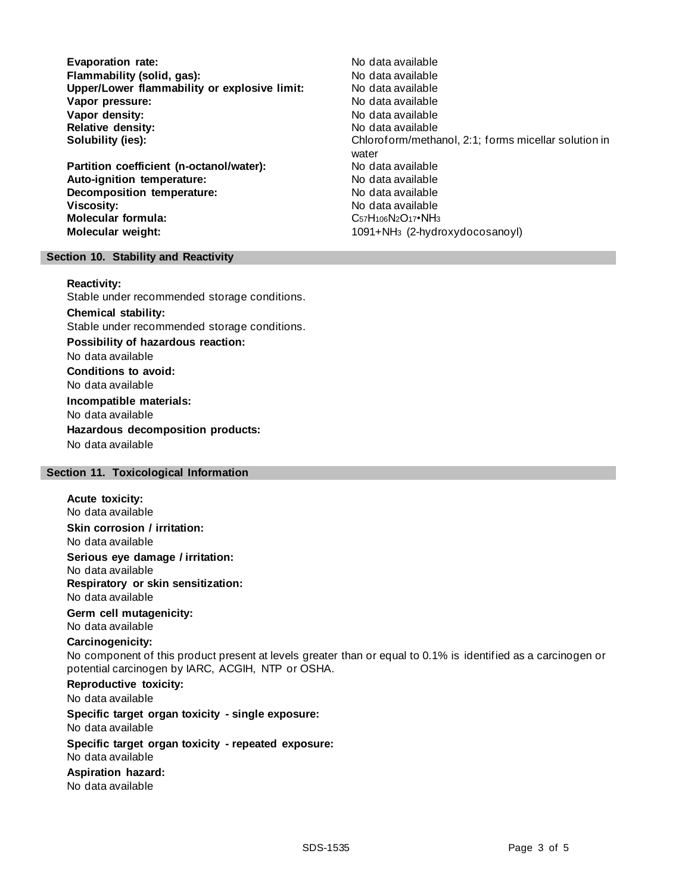**Evaporation rate:** No data available **Flammability (solid, gas):** No data available **Upper/Lower flammability or explosive limit: Vapor pressure:** No data available **Vapor density:** No data available **Relative density:** No data available

**Partition coefficient (n-octanol/water):** No data available Auto-ignition temperature: No data available **Decomposition temperature:** No data available **Viscosity:** No data available **Molecular formula:** C57H106N2O17•NH3 **Molecular weight:** 1091+NH<sup>3</sup> (2-hydroxydocosanoyl)

**Solubility (ies):** Chloroform/methanol, 2:1; forms micellar solution in water

#### **Section 10. Stability and Reactivity**

#### **Reactivity:**

Stable under recommended storage conditions. **Chemical stability:** Stable under recommended storage conditions. **Possibility of hazardous reaction:** No data available **Conditions to avoid:** No data available **Incompatible materials:** No data available **Hazardous decomposition products:** No data available

#### **Section 11. Toxicological Information**

# **Acute toxicity:** No data available **Skin corrosion / irritation:** No data available **Serious eye damage / irritation:** No data available **Respiratory or skin sensitization:** No data available **Germ cell mutagenicity:** No data available **Carcinogenicity:** No component of this product present at levels greater than or equal to 0.1% is identified as a carcinogen or potential carcinogen by IARC, ACGIH, NTP or OSHA. **Reproductive toxicity:** No data available **Specific target organ toxicity - single exposure:** No data available **Specific target organ toxicity - repeated exposure:** No data available **Aspiration hazard:** No data available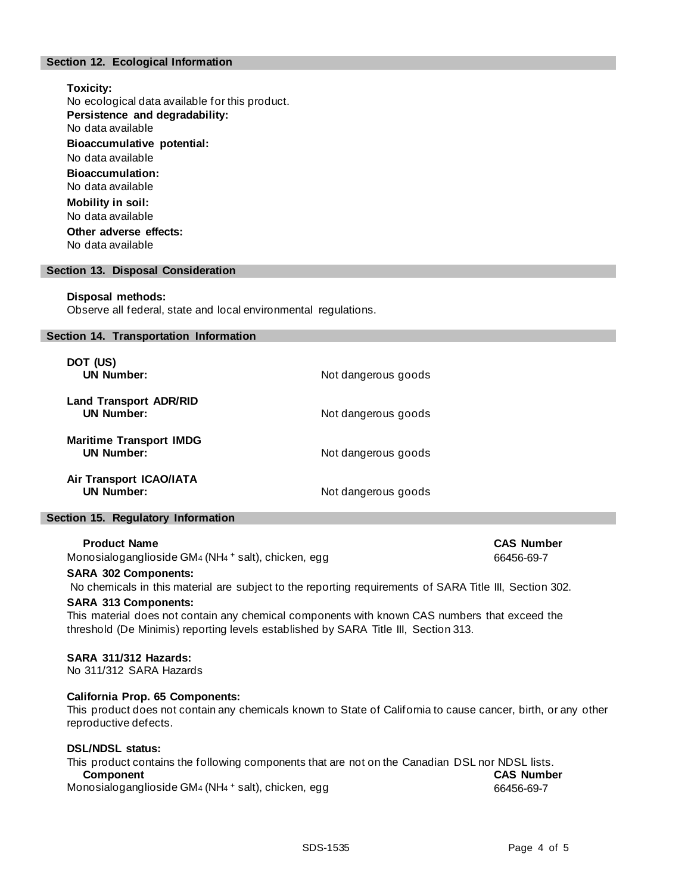# **Section 12. Ecological Information**

**Toxicity:** No ecological data available for this product. **Persistence and degradability:** No data available **Bioaccumulative potential:** No data available **Bioaccumulation:** No data available **Mobility in soil:** No data available **Other adverse effects:** No data available

#### **Section 13. Disposal Consideration**

#### **Disposal methods:**

Observe all federal, state and local environmental regulations.

#### **Section 14. Transportation Information**

| DOT (US)<br><b>UN Number:</b>                       | Not dangerous goods |
|-----------------------------------------------------|---------------------|
| <b>Land Transport ADR/RID</b><br><b>UN Number:</b>  | Not dangerous goods |
| <b>Maritime Transport IMDG</b><br><b>UN Number:</b> | Not dangerous goods |
| Air Transport ICAO/IATA<br><b>UN Number:</b>        | Not dangerous goods |

#### **Section 15. Regulatory Information**

#### **Product Name CAS Number**

Monosialoganglioside GM4 (NH4 + salt), chicken, egg distribution of the control of 66456-69-7

## **SARA 302 Components:**

No chemicals in this material are subject to the reporting requirements of SARA Title III, Section 302.

#### **SARA 313 Components:**

This material does not contain any chemical components with known CAS numbers that exceed the threshold (De Minimis) reporting levels established by SARA Title III, Section 313.

#### **SARA 311/312 Hazards:**

No 311/312 SARA Hazards

## **California Prop. 65 Components:**

This product does not contain any chemicals known to State of California to cause cancer, birth, or any other reproductive defects.

#### **DSL/NDSL status:**

| This product contains the following components that are not on the Canadian DSL nor NDSL lists. |                   |
|-------------------------------------------------------------------------------------------------|-------------------|
| <b>Component</b>                                                                                | <b>CAS Number</b> |
| Monosialoganglioside GM4 (NH4 + salt), chicken, egg                                             | 66456-69-7        |